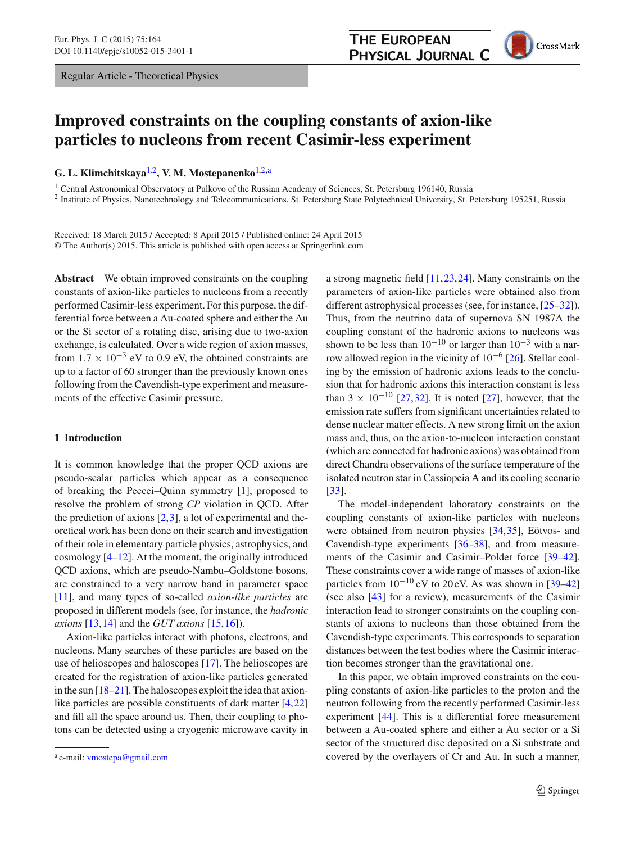Regular Article - Theoretical Physics

<span id="page-0-0"></span>CrossMark

# **Improved constraints on the coupling constants of axion-like particles to nucleons from recent Casimir-less experiment**

**G. L. Klimchitskaya**[1,2](#page-0-0)**, V. M. Mostepanenko**[1,2,](#page-0-0)a

<sup>1</sup> Central Astronomical Observatory at Pulkovo of the Russian Academy of Sciences, St. Petersburg 196140, Russia

<sup>2</sup> Institute of Physics, Nanotechnology and Telecommunications, St. Petersburg State Polytechnical University, St. Petersburg 195251, Russia

Received: 18 March 2015 / Accepted: 8 April 2015 / Published online: 24 April 2015 © The Author(s) 2015. This article is published with open access at Springerlink.com

**Abstract** We obtain improved constraints on the coupling constants of axion-like particles to nucleons from a recently performed Casimir-less experiment. For this purpose, the differential force between a Au-coated sphere and either the Au or the Si sector of a rotating disc, arising due to two-axion exchange, is calculated. Over a wide region of axion masses, from  $1.7 \times 10^{-3}$  eV to 0.9 eV, the obtained constraints are up to a factor of 60 stronger than the previously known ones following from the Cavendish-type experiment and measurements of the effective Casimir pressure.

#### **1 Introduction**

It is common knowledge that the proper QCD axions are pseudo-scalar particles which appear as a consequence of breaking the Peccei–Quinn symmetry [\[1\]](#page-4-0), proposed to resolve the problem of strong *CP* violation in QCD. After the prediction of axions  $[2,3]$  $[2,3]$  $[2,3]$ , a lot of experimental and theoretical work has been done on their search and investigation of their role in elementary particle physics, astrophysics, and cosmology [\[4](#page-4-3)[–12](#page-4-4)]. At the moment, the originally introduced QCD axions, which are pseudo-Nambu–Goldstone bosons, are constrained to a very narrow band in parameter space [\[11](#page-4-5)], and many types of so-called *axion-like particles* are proposed in different models (see, for instance, the *hadronic axions* [\[13](#page-4-6)[,14](#page-4-7)] and the *GUT axions* [\[15,](#page-4-8)[16\]](#page-4-9)).

Axion-like particles interact with photons, electrons, and nucleons. Many searches of these particles are based on the use of helioscopes and haloscopes [\[17](#page-4-10)]. The helioscopes are created for the registration of axion-like particles generated in the sun [\[18](#page-4-11)[–21](#page-4-12)]. The haloscopes exploit the idea that axionlike particles are possible constituents of dark matter [\[4,](#page-4-3)[22\]](#page-4-13) and fill all the space around us. Then, their coupling to photons can be detected using a cryogenic microwave cavity in a strong magnetic field [\[11](#page-4-5),[23,](#page-4-14)[24\]](#page-4-15). Many constraints on the parameters of axion-like particles were obtained also from different astrophysical processes (see, for instance, [\[25](#page-4-16)[–32](#page-4-17)]). Thus, from the neutrino data of supernova SN 1987A the coupling constant of the hadronic axions to nucleons was shown to be less than  $10^{-10}$  or larger than  $10^{-3}$  with a narrow allowed region in the vicinity of  $10^{-6}$  [\[26\]](#page-4-18). Stellar cooling by the emission of hadronic axions leads to the conclusion that for hadronic axions this interaction constant is less than  $3 \times 10^{-10}$  [\[27](#page-4-19),[32\]](#page-4-17). It is noted [\[27\]](#page-4-19), however, that the emission rate suffers from significant uncertainties related to dense nuclear matter effects. A new strong limit on the axion mass and, thus, on the axion-to-nucleon interaction constant (which are connected for hadronic axions) was obtained from direct Chandra observations of the surface temperature of the isolated neutron star in Cassiopeia A and its cooling scenario [\[33](#page-4-20)].

The model-independent laboratory constraints on the coupling constants of axion-like particles with nucleons were obtained from neutron physics [\[34](#page-4-21),[35](#page-4-22)], Eötvos- and Cavendish-type experiments [\[36](#page-5-0)[–38](#page-5-1)], and from measurements of the Casimir and Casimir–Polder force [\[39](#page-5-2)[–42](#page-5-3)]. These constraints cover a wide range of masses of axion-like particles from  $10^{-10}$  eV to 20 eV. As was shown in [\[39](#page-5-2)[–42\]](#page-5-3) (see also [\[43\]](#page-5-4) for a review), measurements of the Casimir interaction lead to stronger constraints on the coupling constants of axions to nucleons than those obtained from the Cavendish-type experiments. This corresponds to separation distances between the test bodies where the Casimir interaction becomes stronger than the gravitational one.

In this paper, we obtain improved constraints on the coupling constants of axion-like particles to the proton and the neutron following from the recently performed Casimir-less experiment [\[44](#page-5-5)]. This is a differential force measurement between a Au-coated sphere and either a Au sector or a Si sector of the structured disc deposited on a Si substrate and covered by the overlayers of Cr and Au. In such a manner,

<sup>a</sup> e-mail: [vmostepa@gmail.com](mailto:vmostepa@gmail.com)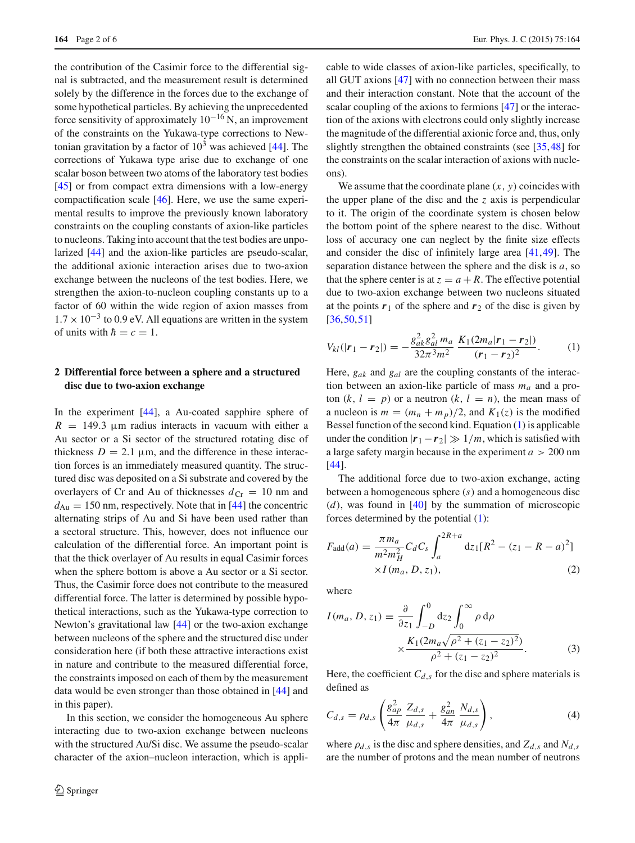the contribution of the Casimir force to the differential signal is subtracted, and the measurement result is determined solely by the difference in the forces due to the exchange of some hypothetical particles. By achieving the unprecedented force sensitivity of approximately  $10^{-16}$  N, an improvement of the constraints on the Yukawa-type corrections to Newtonian gravitation by a factor of  $10<sup>3</sup>$  was achieved [\[44](#page-5-5)]. The corrections of Yukawa type arise due to exchange of one scalar boson between two atoms of the laboratory test bodies [\[45](#page-5-6)] or from compact extra dimensions with a low-energy compactification scale [\[46\]](#page-5-7). Here, we use the same experimental results to improve the previously known laboratory constraints on the coupling constants of axion-like particles to nucleons. Taking into account that the test bodies are unpolarized [\[44\]](#page-5-5) and the axion-like particles are pseudo-scalar, the additional axionic interaction arises due to two-axion exchange between the nucleons of the test bodies. Here, we strengthen the axion-to-nucleon coupling constants up to a factor of 60 within the wide region of axion masses from  $1.7 \times 10^{-3}$  to 0.9 eV. All equations are written in the system of units with  $\hbar = c = 1$ .

## **2 Differential force between a sphere and a structured disc due to two-axion exchange**

In the experiment [\[44](#page-5-5)], a Au-coated sapphire sphere of  $R = 149.3 \mu m$  radius interacts in vacuum with either a Au sector or a Si sector of the structured rotating disc of thickness  $D = 2.1 \mu m$ , and the difference in these interaction forces is an immediately measured quantity. The structured disc was deposited on a Si substrate and covered by the overlayers of Cr and Au of thicknesses  $d_{Cr} = 10$  nm and  $d_{Au} = 150$  nm, respectively. Note that in [\[44\]](#page-5-5) the concentric alternating strips of Au and Si have been used rather than a sectoral structure. This, however, does not influence our calculation of the differential force. An important point is that the thick overlayer of Au results in equal Casimir forces when the sphere bottom is above a Au sector or a Si sector. Thus, the Casimir force does not contribute to the measured differential force. The latter is determined by possible hypothetical interactions, such as the Yukawa-type correction to Newton's gravitational law [\[44\]](#page-5-5) or the two-axion exchange between nucleons of the sphere and the structured disc under consideration here (if both these attractive interactions exist in nature and contribute to the measured differential force, the constraints imposed on each of them by the measurement data would be even stronger than those obtained in [\[44\]](#page-5-5) and in this paper).

In this section, we consider the homogeneous Au sphere interacting due to two-axion exchange between nucleons with the structured Au/Si disc. We assume the pseudo-scalar character of the axion–nucleon interaction, which is applicable to wide classes of axion-like particles, specifically, to all GUT axions [\[47](#page-5-8)] with no connection between their mass and their interaction constant. Note that the account of the scalar coupling of the axions to fermions [\[47](#page-5-8)] or the interaction of the axions with electrons could only slightly increase the magnitude of the differential axionic force and, thus, only slightly strengthen the obtained constraints (see [\[35](#page-4-22),[48\]](#page-5-9) for the constraints on the scalar interaction of axions with nucleons).

We assume that the coordinate plane  $(x, y)$  coincides with the upper plane of the disc and the *z* axis is perpendicular to it. The origin of the coordinate system is chosen below the bottom point of the sphere nearest to the disc. Without loss of accuracy one can neglect by the finite size effects and consider the disc of infinitely large area [\[41](#page-5-10)[,49](#page-5-11)]. The separation distance between the sphere and the disk is *a*, so that the sphere center is at  $z = a + R$ . The effective potential due to two-axion exchange between two nucleons situated at the points  $r_1$  of the sphere and  $r_2$  of the disc is given by  $[36,50,51]$  $[36,50,51]$  $[36,50,51]$  $[36,50,51]$ 

<span id="page-1-0"></span>
$$
V_{kl}(|\mathbf{r}_1 - \mathbf{r}_2|) = -\frac{g_{ak}^2 g_{al}^2 m_a}{32\pi^3 m^2} \frac{K_1(2m_a|\mathbf{r}_1 - \mathbf{r}_2|)}{(\mathbf{r}_1 - \mathbf{r}_2)^2}.
$$
 (1)

Here, *gak* and *gal* are the coupling constants of the interaction between an axion-like particle of mass *ma* and a proton  $(k, l = p)$  or a neutron  $(k, l = n)$ , the mean mass of a nucleon is  $m = (m_n + m_p)/2$ , and  $K_1(z)$  is the modified Bessel function of the second kind. Equation [\(1\)](#page-1-0) is applicable under the condition  $|r_1 - r_2| \gg 1/m$ , which is satisfied with a large safety margin because in the experiment *a* > 200 nm [\[44](#page-5-5)].

The additional force due to two-axion exchange, acting between a homogeneous sphere (*s*) and a homogeneous disc  $(d)$ , was found in  $[40]$  $[40]$  by the summation of microscopic forces determined by the potential [\(1\)](#page-1-0):

<span id="page-1-2"></span>
$$
F_{\text{add}}(a) = \frac{\pi m_a}{m^2 m_H^2} C_d C_s \int_a^{2R+a} dz_1 [R^2 - (z_1 - R - a)^2] \times I(m_a, D, z_1),
$$
\n(2)

where

<span id="page-1-1"></span>
$$
I(m_a, D, z_1) \equiv \frac{\partial}{\partial z_1} \int_{-D}^{0} dz_2 \int_{0}^{\infty} \rho d\rho
$$
  
 
$$
\times \frac{K_1(2m_a\sqrt{\rho^2 + (z_1 - z_2)^2})}{\rho^2 + (z_1 - z_2)^2}.
$$
 (3)

Here, the coefficient  $C_{d,s}$  for the disc and sphere materials is defined as

<span id="page-1-3"></span>
$$
C_{d,s} = \rho_{d,s} \left( \frac{g_{ap}^2}{4\pi} \frac{Z_{d,s}}{\mu_{d,s}} + \frac{g_{an}^2}{4\pi} \frac{N_{d,s}}{\mu_{d,s}} \right),
$$
(4)

where  $\rho_{d,s}$  is the disc and sphere densities, and  $Z_{d,s}$  and  $N_{d,s}$ are the number of protons and the mean number of neutrons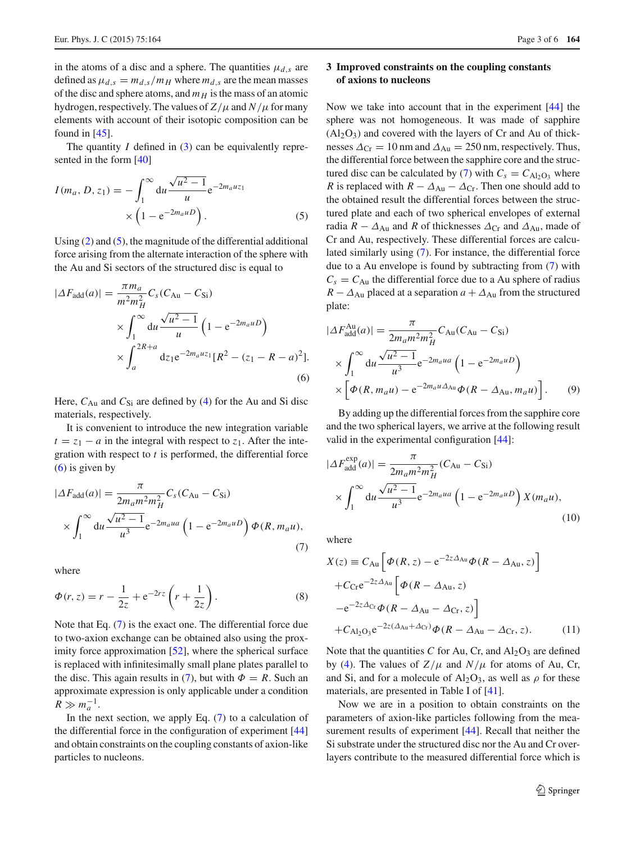in the atoms of a disc and a sphere. The quantities  $\mu_{d,s}$  are defined as  $\mu_{d,s} = m_{d,s}/m_H$  where  $m_{d,s}$  are the mean masses of the disc and sphere atoms, and  $m_H$  is the mass of an atomic hydrogen, respectively. The values of  $Z/\mu$  and  $N/\mu$  for many elements with account of their isotopic composition can be found in  $[45]$  $[45]$ .

The quantity *I* defined in [\(3\)](#page-1-1) can be equivalently represented in the form [\[40](#page-5-14)]

<span id="page-2-0"></span>
$$
I(m_a, D, z_1) = -\int_1^\infty du \frac{\sqrt{u^2 - 1}}{u} e^{-2m_a u z_1} \times \left(1 - e^{-2m_a u D}\right).
$$
 (5)

Using  $(2)$  and  $(5)$ , the magnitude of the differential additional force arising from the alternate interaction of the sphere with the Au and Si sectors of the structured disc is equal to

<span id="page-2-1"></span>
$$
|\Delta F_{\text{add}}(a)| = \frac{\pi m_a}{m^2 m_H^2} C_s (C_{\text{Au}} - C_{\text{Si}})
$$
  
 
$$
\times \int_1^{\infty} du \frac{\sqrt{u^2 - 1}}{u} \left( 1 - e^{-2m_a u D} \right)
$$
  
 
$$
\times \int_a^{2R + a} dz_1 e^{-2m_a u z_1} [R^2 - (z_1 - R - a)^2].
$$
  
(6)

Here,  $C_{Au}$  and  $C_{Si}$  are defined by [\(4\)](#page-1-3) for the Au and Si disc materials, respectively.

It is convenient to introduce the new integration variable  $t = z_1 - a$  in the integral with respect to  $z_1$ . After the integration with respect to *t* is performed, the differential force  $(6)$  is given by

<span id="page-2-2"></span>
$$
|\Delta F_{\text{add}}(a)| = \frac{\pi}{2m_a m^2 m_H^2} C_s (C_{\text{Au}} - C_{\text{Si}})
$$
  
 
$$
\times \int_1^\infty du \frac{\sqrt{u^2 - 1}}{u^3} e^{-2m_a u a} \left(1 - e^{-2m_a u D}\right) \Phi(R, m_a u), \tag{7}
$$

where

$$
\Phi(r, z) = r - \frac{1}{2z} + e^{-2rz} \left( r + \frac{1}{2z} \right).
$$
 (8)

Note that Eq. [\(7\)](#page-2-2) is the exact one. The differential force due to two-axion exchange can be obtained also using the proximity force approximation [\[52\]](#page-5-15), where the spherical surface is replaced with infinitesimally small plane plates parallel to the disc. This again results in [\(7\)](#page-2-2), but with  $\Phi = R$ . Such an approximate expression is only applicable under a condition  $R \gg m_a^{-1}$ .

In the next section, we apply Eq.  $(7)$  to a calculation of the differential force in the configuration of experiment [\[44\]](#page-5-5) and obtain constraints on the coupling constants of axion-like particles to nucleons.

## **3 Improved constraints on the coupling constants of axions to nucleons**

Now we take into account that in the experiment [\[44](#page-5-5)] the sphere was not homogeneous. It was made of sapphire  $(Al<sub>2</sub>O<sub>3</sub>)$  and covered with the layers of Cr and Au of thicknesses  $\Delta_{\rm Cr} = 10$  nm and  $\Delta_{\rm Au} = 250$  nm, respectively. Thus, the differential force between the sapphire core and the struc-tured disc can be calculated by [\(7\)](#page-2-2) with  $C_s = C_{\text{Al}_2\text{O}_3}$  where *R* is replaced with  $R - \Delta_{Au} - \Delta_{Cr}$ . Then one should add to the obtained result the differential forces between the structured plate and each of two spherical envelopes of external radia  $R - \Delta_{Au}$  and *R* of thicknesses  $\Delta_{Cr}$  and  $\Delta_{Au}$ , made of Cr and Au, respectively. These differential forces are calculated similarly using [\(7\)](#page-2-2). For instance, the differential force due to a Au envelope is found by subtracting from [\(7\)](#page-2-2) with  $C_s = C_{Au}$  the differential force due to a Au sphere of radius  $R - \Delta_{Au}$  placed at a separation  $a + \Delta_{Au}$  from the structured plate:

$$
|\Delta F_{\text{add}}^{\text{Au}}(a)| = \frac{\pi}{2m_a m^2 m_H^2} C_{\text{Au}} (C_{\text{Au}} - C_{\text{Si}})
$$

$$
\times \int_1^\infty \text{du} \frac{\sqrt{u^2 - 1}}{u^3} e^{-2m_a u a} \left( 1 - e^{-2m_a u D} \right)
$$

$$
\times \left[ \Phi(R, m_a u) - e^{-2m_a u \Delta_{\text{Au}}} \Phi(R - \Delta_{\text{Au}}, m_a u) \right]. \tag{9}
$$

By adding up the differential forces from the sapphire core and the two spherical layers, we arrive at the following result valid in the experimental configuration [\[44](#page-5-5)]:

<span id="page-2-3"></span>
$$
|\Delta F_{\text{add}}^{\text{exp}}(a)| = \frac{\pi}{2m_a m^2 m_H^2} (C_{\text{Au}} - C_{\text{Si}})
$$

$$
\times \int_1^\infty du \frac{\sqrt{u^2 - 1}}{u^3} e^{-2m_a u a} \left(1 - e^{-2m_a u D}\right) X(m_a u), \tag{10}
$$

where

<span id="page-2-4"></span>
$$
X(z) \equiv C_{\text{Au}} \left[ \Phi(R, z) - e^{-2z \Delta_{\text{Au}}} \Phi(R - \Delta_{\text{Au}}, z) \right]
$$

$$
+ C_{\text{Cr}} e^{-2z \Delta_{\text{Au}}} \left[ \Phi(R - \Delta_{\text{Au}}, z) - e^{-2z \Delta_{\text{Cr}}} \Phi(R - \Delta_{\text{Au}} - \Delta_{\text{Cr}}, z) \right]
$$

$$
+ C_{\text{Al}_2\text{O}_3} e^{-2z (\Delta_{\text{Au}} + \Delta_{\text{Cr}})} \Phi(R - \Delta_{\text{Au}} - \Delta_{\text{Cr}}, z).
$$
(11)

Note that the quantities *C* for Au, Cr, and  $Al_2O_3$  are defined by [\(4\)](#page-1-3). The values of  $Z/\mu$  and  $N/\mu$  for atoms of Au, Cr, and Si, and for a molecule of  $Al_2O_3$ , as well as  $\rho$  for these materials, are presented in Table I of [\[41](#page-5-10)].

Now we are in a position to obtain constraints on the parameters of axion-like particles following from the mea-surement results of experiment [\[44\]](#page-5-5). Recall that neither the Si substrate under the structured disc nor the Au and Cr overlayers contribute to the measured differential force which is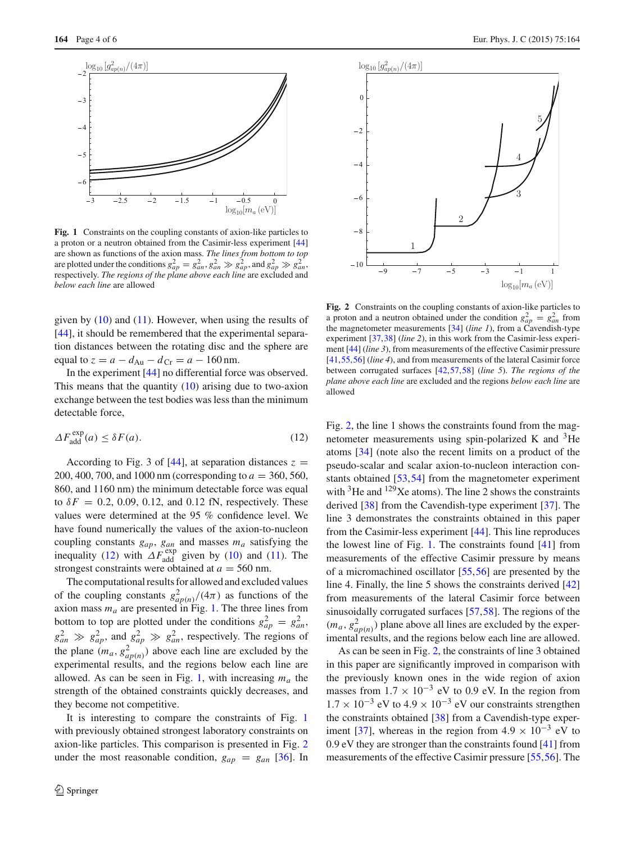

<span id="page-3-1"></span>**Fig. 1** Constraints on the coupling constants of axion-like particles to a proton or a neutron obtained from the Casimir-less experiment [\[44](#page-5-5)] are shown as functions of the axion mass. *The lines from bottom to top* are plotted under the conditions  $g_{ap}^2 = g_{an}^2$ ,  $g_{an}^2 \gg g_{ap}^2$ , and  $g_{ap}^2 \gg g_{an}^2$ , respectively. *The regions of the plane above each line* are excluded and *below each line* are allowed

given by  $(10)$  and  $(11)$ . However, when using the results of [\[44](#page-5-5)], it should be remembered that the experimental separation distances between the rotating disc and the sphere are equal to  $z = a - d_{Au} - d_{Cr} = a - 160$  nm.

In the experiment [\[44](#page-5-5)] no differential force was observed. This means that the quantity [\(10\)](#page-2-3) arising due to two-axion exchange between the test bodies was less than the minimum detectable force,

<span id="page-3-0"></span>
$$
\Delta F_{\text{add}}^{\text{exp}}(a) \le \delta F(a). \tag{12}
$$

According to Fig. 3 of  $[44]$  $[44]$ , at separation distances  $z =$ 200, 400, 700, and 1000 nm (corresponding to *a* = 360, 560, 860, and 1160 nm) the minimum detectable force was equal to  $\delta F = 0.2$ , 0.09, 0.12, and 0.12 fN, respectively. These values were determined at the 95 % confidence level. We have found numerically the values of the axion-to-nucleon coupling constants  $g_{ap}$ ,  $g_{an}$  and masses  $m_a$  satisfying the inequality [\(12\)](#page-3-0) with  $\Delta F_{\text{add}}^{\text{exp}}$  given by [\(10\)](#page-2-3) and [\(11\)](#page-2-4). The strongest constraints were obtained at  $a = 560$  nm.

The computational results for allowed and excluded values of the coupling constants  $g_{ap(n)}^2/(4\pi)$  as functions of the axion mass  $m_a$  are presented in Fig. [1.](#page-3-1) The three lines from bottom to top are plotted under the conditions  $g_{ap}^2 = g_{an}^2$ ,  $g_{an}^2 \gg g_{ap}^2$ , and  $g_{ap}^2 \gg g_{an}^2$ , respectively. The regions of the plane  $(m_a, g_{ap(n)}^2)$  above each line are excluded by the experimental results, and the regions below each line are allowed. As can be seen in Fig. [1,](#page-3-1) with increasing  $m_a$  the strength of the obtained constraints quickly decreases, and they become not competitive.

It is interesting to compare the constraints of Fig. [1](#page-3-1) with previously obtained strongest laboratory constraints on axion-like particles. This comparison is presented in Fig. [2](#page-3-2) under the most reasonable condition,  $g_{ap} = g_{an}$  [\[36](#page-5-0)]. In



<span id="page-3-2"></span>**Fig. 2** Constraints on the coupling constants of axion-like particles to a proton and a neutron obtained under the condition  $g_{ap}^2 = g_{an}^2$  from the magnetometer measurements [\[34\]](#page-4-21) (*line 1*), from a Cavendish-type experiment [\[37](#page-5-16)[,38\]](#page-5-1) (*line 2*), in this work from the Casimir-less experiment [\[44\]](#page-5-5) (*line 3*), from measurements of the effective Casimir pressure [\[41](#page-5-10)[,55](#page-5-17)[,56\]](#page-5-18) (*line 4*), and from measurements of the lateral Casimir force between corrugated surfaces [\[42](#page-5-3)[,57,](#page-5-19)[58](#page-5-20)] (*line 5*). *The regions of the plane above each line* are excluded and the regions *below each line* are allowed

Fig. [2,](#page-3-2) the line 1 shows the constraints found from the magnetometer measurements using spin-polarized K and  ${}^{3}$ He atoms [\[34\]](#page-4-21) (note also the recent limits on a product of the pseudo-scalar and scalar axion-to-nucleon interaction constants obtained [\[53](#page-5-21),[54\]](#page-5-22) from the magnetometer experiment with  ${}^{3}$ He and  ${}^{129}$ Xe atoms). The line 2 shows the constraints derived [\[38\]](#page-5-1) from the Cavendish-type experiment [\[37](#page-5-16)]. The line 3 demonstrates the constraints obtained in this paper from the Casimir-less experiment [\[44\]](#page-5-5). This line reproduces the lowest line of Fig. [1.](#page-3-1) The constraints found [\[41\]](#page-5-10) from measurements of the effective Casimir pressure by means of a micromachined oscillator [\[55](#page-5-17),[56](#page-5-18)] are presented by the line 4. Finally, the line 5 shows the constraints derived [\[42\]](#page-5-3) from measurements of the lateral Casimir force between sinusoidally corrugated surfaces [\[57](#page-5-19)[,58](#page-5-20)]. The regions of the  $(m_a, g_{ap(n)}^2)$  plane above all lines are excluded by the experimental results, and the regions below each line are allowed.

As can be seen in Fig. [2,](#page-3-2) the constraints of line 3 obtained in this paper are significantly improved in comparison with the previously known ones in the wide region of axion masses from  $1.7 \times 10^{-3}$  eV to 0.9 eV. In the region from  $1.7 \times 10^{-3}$  eV to  $4.9 \times 10^{-3}$  eV our constraints strengthen the constraints obtained [\[38](#page-5-1)] from a Cavendish-type exper-iment [\[37\]](#page-5-16), whereas in the region from  $4.9 \times 10^{-3}$  eV to 0.9 eV they are stronger than the constraints found [\[41\]](#page-5-10) from measurements of the effective Casimir pressure [\[55](#page-5-17)[,56\]](#page-5-18). The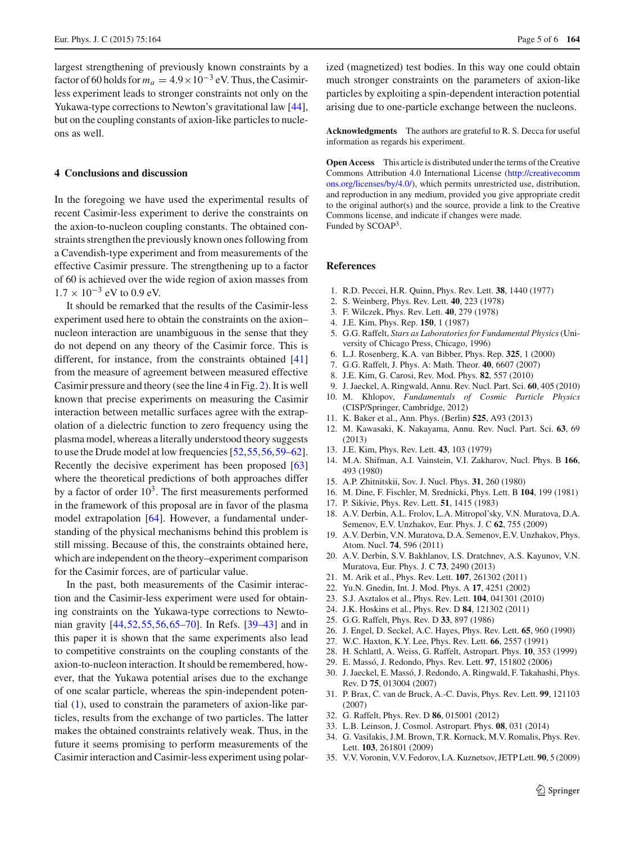largest strengthening of previously known constraints by a factor of 60 holds for  $m_a = 4.9 \times 10^{-3}$  eV. Thus, the Casimirless experiment leads to stronger constraints not only on the Yukawa-type corrections to Newton's gravitational law [\[44](#page-5-5)], but on the coupling constants of axion-like particles to nucleons as well.

### **4 Conclusions and discussion**

In the foregoing we have used the experimental results of recent Casimir-less experiment to derive the constraints on the axion-to-nucleon coupling constants. The obtained constraints strengthen the previously known ones following from a Cavendish-type experiment and from measurements of the effective Casimir pressure. The strengthening up to a factor of 60 is achieved over the wide region of axion masses from  $1.7 \times 10^{-3}$  eV to 0.9 eV.

It should be remarked that the results of the Casimir-less experiment used here to obtain the constraints on the axion– nucleon interaction are unambiguous in the sense that they do not depend on any theory of the Casimir force. This is different, for instance, from the constraints obtained [\[41\]](#page-5-10) from the measure of agreement between measured effective Casimir pressure and theory (see the line 4 in Fig. [2\)](#page-3-2). It is well known that precise experiments on measuring the Casimir interaction between metallic surfaces agree with the extrapolation of a dielectric function to zero frequency using the plasma model, whereas a literally understood theory suggests to use the Drude model at low frequencies [\[52,](#page-5-15)[55](#page-5-17)[,56](#page-5-18)[,59](#page-5-23)[–62](#page-5-24)]. Recently the decisive experiment has been proposed [\[63\]](#page-5-25) where the theoretical predictions of both approaches differ by a factor of order  $10<sup>3</sup>$ . The first measurements performed in the framework of this proposal are in favor of the plasma model extrapolation [\[64\]](#page-5-26). However, a fundamental understanding of the physical mechanisms behind this problem is still missing. Because of this, the constraints obtained here, which are independent on the theory–experiment comparison for the Casimir forces, are of particular value.

In the past, both measurements of the Casimir interaction and the Casimir-less experiment were used for obtaining constraints on the Yukawa-type corrections to Newtonian gravity [\[44](#page-5-5)[,52](#page-5-15),[55,](#page-5-17)[56](#page-5-18)[,65](#page-5-27)[–70\]](#page-5-28). In Refs. [\[39](#page-5-2)[–43](#page-5-4)] and in this paper it is shown that the same experiments also lead to competitive constraints on the coupling constants of the axion-to-nucleon interaction. It should be remembered, however, that the Yukawa potential arises due to the exchange of one scalar particle, whereas the spin-independent potential [\(1\)](#page-1-0), used to constrain the parameters of axion-like particles, results from the exchange of two particles. The latter makes the obtained constraints relatively weak. Thus, in the future it seems promising to perform measurements of the Casimir interaction and Casimir-less experiment using polarized (magnetized) test bodies. In this way one could obtain much stronger constraints on the parameters of axion-like particles by exploiting a spin-dependent interaction potential arising due to one-particle exchange between the nucleons.

**Acknowledgments** The authors are grateful to R. S. Decca for useful information as regards his experiment.

**Open Access** This article is distributed under the terms of the Creative Commons Attribution 4.0 International License [\(http://creativecomm](http://creativecommons.org/licenses/by/4.0/) [ons.org/licenses/by/4.0/\)](http://creativecommons.org/licenses/by/4.0/), which permits unrestricted use, distribution, and reproduction in any medium, provided you give appropriate credit to the original author(s) and the source, provide a link to the Creative Commons license, and indicate if changes were made. Funded by SCOAP<sup>3</sup>.

#### **References**

- <span id="page-4-0"></span>1. R.D. Peccei, H.R. Quinn, Phys. Rev. Lett. **38**, 1440 (1977)
- <span id="page-4-1"></span>2. S. Weinberg, Phys. Rev. Lett. **40**, 223 (1978)
- <span id="page-4-2"></span>3. F. Wilczek, Phys. Rev. Lett. **40**, 279 (1978)
- <span id="page-4-3"></span>4. J.E. Kim, Phys. Rep. **150**, 1 (1987)
- 5. G.G. Raffelt, *Stars as Laboratories for Fundamental Physics*(University of Chicago Press, Chicago, 1996)
- 6. L.J. Rosenberg, K.A. van Bibber, Phys. Rep. **325**, 1 (2000)
- 7. G.G. Raffelt, J. Phys. A: Math. Theor. **40**, 6607 (2007)
- 8. J.E. Kim, G. Carosi, Rev. Mod. Phys. **82**, 557 (2010)
- 9. J. Jaeckel, A. Ringwald, Annu. Rev. Nucl. Part. Sci. **60**, 405 (2010)
- 10. M. Khlopov, *Fundamentals of Cosmic Particle Physics* (CISP/Springer, Cambridge, 2012)
- <span id="page-4-5"></span>11. K. Baker et al., Ann. Phys. (Berlin) **525**, A93 (2013)
- <span id="page-4-4"></span>12. M. Kawasaki, K. Nakayama, Annu. Rev. Nucl. Part. Sci. **63**, 69 (2013)
- <span id="page-4-6"></span>13. J.E. Kim, Phys. Rev. Lett. **43**, 103 (1979)
- <span id="page-4-7"></span>14. M.A. Shifman, A.I. Vainstein, V.I. Zakharov, Nucl. Phys. B **166**, 493 (1980)
- <span id="page-4-8"></span>15. A.P. Zhitnitskii, Sov. J. Nucl. Phys. **31**, 260 (1980)
- <span id="page-4-9"></span>16. M. Dine, F. Fischler, M. Srednicki, Phys. Lett. B **104**, 199 (1981)
- <span id="page-4-10"></span>17. P. Sikivie, Phys. Rev. Lett. **51**, 1415 (1983)
- <span id="page-4-11"></span>18. A.V. Derbin, A.L. Frolov, L.A. Mitropol'sky, V.N. Muratova, D.A. Semenov, E.V. Unzhakov, Eur. Phys. J. C **62**, 755 (2009)
- 19. A.V. Derbin, V.N. Muratova, D.A. Semenov, E.V. Unzhakov, Phys. Atom. Nucl. **74**, 596 (2011)
- 20. A.V. Derbin, S.V. Bakhlanov, I.S. Dratchnev, A.S. Kayunov, V.N. Muratova, Eur. Phys. J. C **73**, 2490 (2013)
- <span id="page-4-12"></span>21. M. Arik et al., Phys. Rev. Lett. **107**, 261302 (2011)
- <span id="page-4-13"></span>22. Yu.N. Gnedin, Int. J. Mod. Phys. A **17**, 4251 (2002)
- <span id="page-4-14"></span>23. S.J. Asztalos et al., Phys. Rev. Lett. **104**, 041301 (2010)
- <span id="page-4-15"></span>24. J.K. Hoskins et al., Phys. Rev. D **84**, 121302 (2011)
- <span id="page-4-16"></span>25. G.G. Raffelt, Phys. Rev. D **33**, 897 (1986)
- <span id="page-4-18"></span>26. J. Engel, D. Seckel, A.C. Hayes, Phys. Rev. Lett. **65**, 960 (1990)
- <span id="page-4-19"></span>27. W.C. Haxton, K.Y. Lee, Phys. Rev. Lett. **66**, 2557 (1991)
- 28. H. Schlattl, A. Weiss, G. Raffelt, Astropart. Phys. **10**, 353 (1999)
- 29. E. Massó, J. Redondo, Phys. Rev. Lett. **97**, 151802 (2006)
- 30. J. Jaeckel, E. Massó, J. Redondo, A. Ringwald, F. Takahashi, Phys. Rev. D **75**, 013004 (2007)
- 31. P. Brax, C. van de Bruck, A.-C. Davis, Phys. Rev. Lett. **99**, 121103 (2007)
- <span id="page-4-17"></span>32. G. Raffelt, Phys. Rev. D **86**, 015001 (2012)
- <span id="page-4-20"></span>33. L.B. Leinson, J. Cosmol. Astropart. Phys. **08**, 031 (2014)
- <span id="page-4-21"></span>34. G. Vasilakis, J.M. Brown, T.R. Kornack, M.V. Romalis, Phys. Rev. Lett. **103**, 261801 (2009)
- <span id="page-4-22"></span>35. V.V. Voronin, V.V. Fedorov, I.A. Kuznetsov, JETP Lett. **90**, 5 (2009)